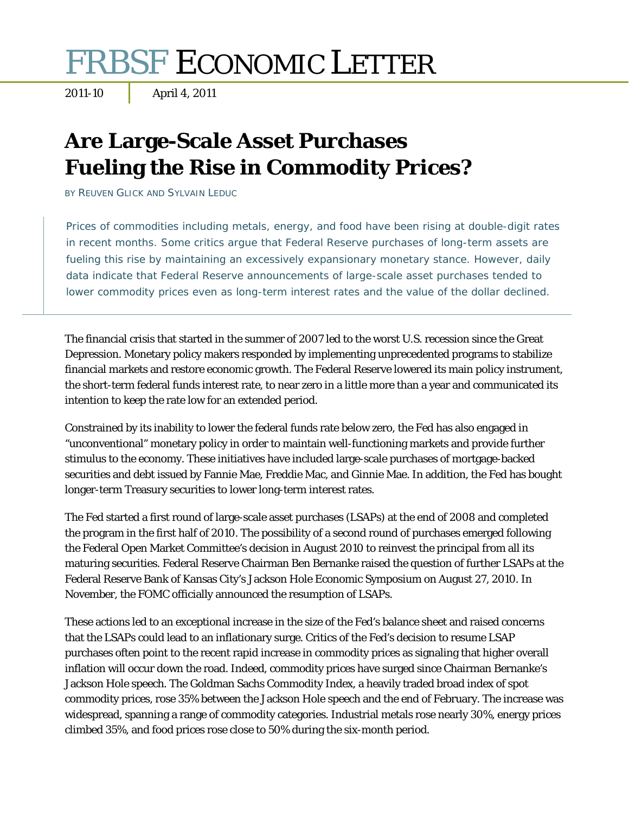# **FRBSF ECONOMIC LETTER**

# **Are Large-Scale Asset Purchases Fueling the Rise in Commodity Prices?**

BY REUVEN GLICK AND SYLVAIN LEDUC

Prices of commodities including metals, energy, and food have been rising at double-digit rates in recent months. Some critics argue that Federal Reserve purchases of long-term assets are fueling this rise by maintaining an excessively expansionary monetary stance. However, daily data indicate that Federal Reserve announcements of large-scale asset purchases tended to lower commodity prices even as long-term interest rates and the value of the dollar declined.

The financial crisis that started in the summer of 2007 led to the worst U.S. recession since the Great Depression. Monetary policy makers responded by implementing unprecedented programs to stabilize financial markets and restore economic growth. The Federal Reserve lowered its main policy instrument, the short-term federal funds interest rate, to near zero in a little more than a year and communicated its intention to keep the rate low for an extended period.

Constrained by its inability to lower the federal funds rate below zero, the Fed has also engaged in "unconventional" monetary policy in order to maintain well-functioning markets and provide further stimulus to the economy. These initiatives have included large-scale purchases of mortgage-backed securities and debt issued by Fannie Mae, Freddie Mac, and Ginnie Mae. In addition, the Fed has bought longer-term Treasury securities to lower long-term interest rates.

The Fed started a first round of large-scale asset purchases (LSAPs) at the end of 2008 and completed the program in the first half of 2010. The possibility of a second round of purchases emerged following the Federal Open Market Committee's decision in August 2010 to reinvest the principal from all its maturing securities. Federal Reserve Chairman Ben Bernanke raised the question of further LSAPs at the Federal Reserve Bank of Kansas City's Jackson Hole Economic Symposium on August 27, 2010. In November, the FOMC officially announced the resumption of LSAPs.

These actions led to an exceptional increase in the size of the Fed's balance sheet and raised concerns that the LSAPs could lead to an inflationary surge. Critics of the Fed's decision to resume LSAP purchases often point to the recent rapid increase in commodity prices as signaling that higher overall inflation will occur down the road. Indeed, commodity prices have surged since Chairman Bernanke's Jackson Hole speech. The Goldman Sachs Commodity Index, a heavily traded broad index of spot commodity prices, rose 35% between the Jackson Hole speech and the end of February. The increase was widespread, spanning a range of commodity categories. Industrial metals rose nearly 30%, energy prices climbed 35%, and food prices rose close to 50% during the six-month period.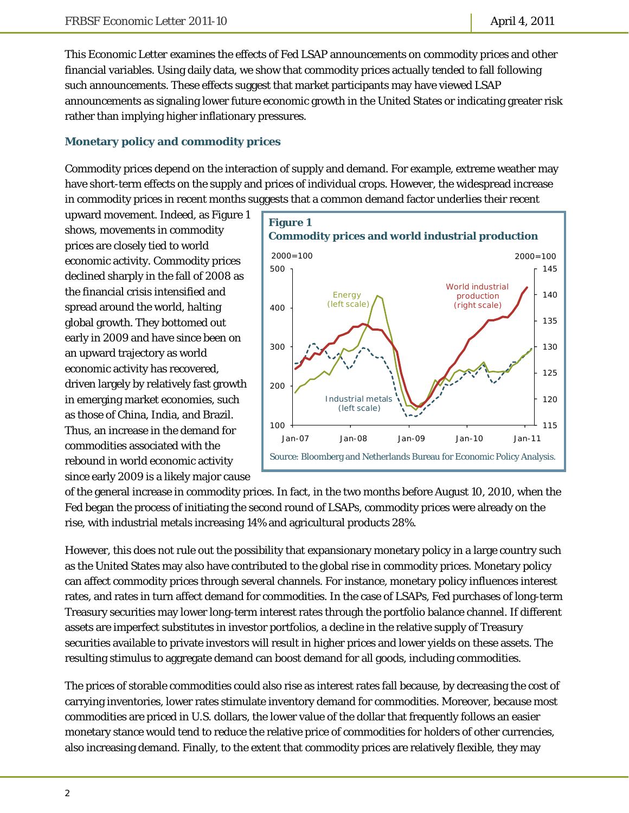This *Economic Letter* examines the effects of Fed LSAP announcements on commodity prices and other financial variables. Using daily data, we show that commodity prices actually tended to fall following such announcements. These effects suggest that market participants may have viewed LSAP announcements as signaling lower future economic growth in the United States or indicating greater risk rather than implying higher inflationary pressures.

### **Monetary policy and commodity prices**

Commodity prices depend on the interaction of supply and demand. For example, extreme weather may have short-term effects on the supply and prices of individual crops. However, the widespread increase in commodity prices in recent months suggests that a common demand factor underlies their recent

upward movement. Indeed, as Figure 1 shows, movements in commodity prices are closely tied to world economic activity. Commodity prices declined sharply in the fall of 2008 as the financial crisis intensified and spread around the world, halting global growth. They bottomed out early in 2009 and have since been on an upward trajectory as world economic activity has recovered, driven largely by relatively fast growth in emerging market economies, such as those of China, India, and Brazil. Thus, an increase in the demand for commodities associated with the rebound in world economic activity since early 2009 is a likely major cause



of the general increase in commodity prices. In fact, in the two months before August 10, 2010, when the Fed began the process of initiating the second round of LSAPs, commodity prices were already on the rise, with industrial metals increasing 14% and agricultural products 28%.

However, this does not rule out the possibility that expansionary monetary policy in a large country such as the United States may also have contributed to the global rise in commodity prices. Monetary policy can affect commodity prices through several channels. For instance, monetary policy influences interest rates, and rates in turn affect demand for commodities. In the case of LSAPs, Fed purchases of long-term Treasury securities may lower long-term interest rates through the portfolio balance channel. If different assets are imperfect substitutes in investor portfolios, a decline in the relative supply of Treasury securities available to private investors will result in higher prices and lower yields on these assets. The resulting stimulus to aggregate demand can boost demand for all goods, including commodities.

The prices of storable commodities could also rise as interest rates fall because, by decreasing the cost of carrying inventories, lower rates stimulate inventory demand for commodities. Moreover, because most commodities are priced in U.S. dollars, the lower value of the dollar that frequently follows an easier monetary stance would tend to reduce the relative price of commodities for holders of other currencies, also increasing demand. Finally, to the extent that commodity prices are relatively flexible, they may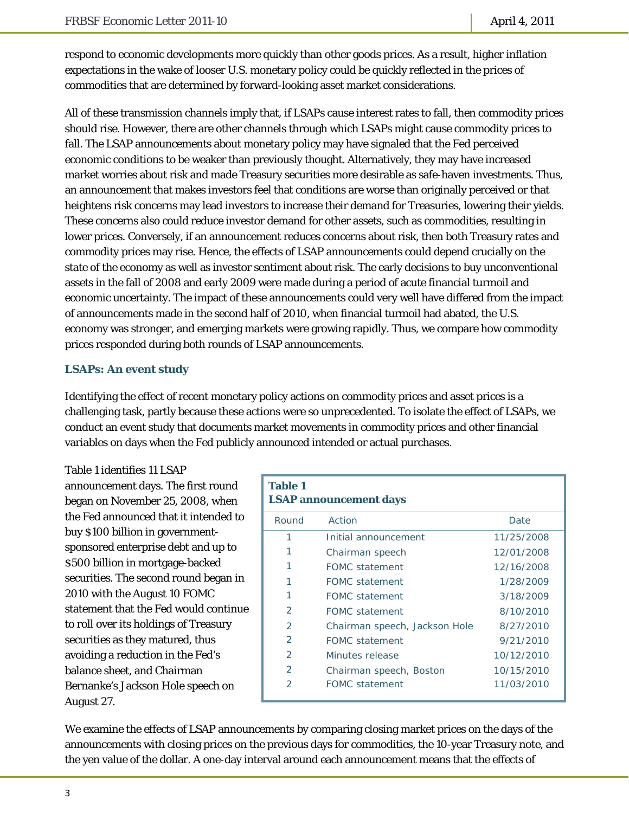respond to economic developments more quickly than other goods prices. As a result, higher inflation expectations in the wake of looser U.S. monetary policy could be quickly reflected in the prices of commodities that are determined by forward-looking asset market considerations.

All of these transmission channels imply that, if LSAPs cause interest rates to fall, then commodity prices should rise. However, there are other channels through which LSAPs might cause commodity prices to fall. The LSAP announcements about monetary policy may have signaled that the Fed perceived economic conditions to be weaker than previously thought. Alternatively, they may have increased market worries about risk and made Treasury securities more desirable as safe-haven investments. Thus, an announcement that makes investors feel that conditions are worse than originally perceived or that heightens risk concerns may lead investors to increase their demand for Treasuries, lowering their yields. These concerns also could reduce investor demand for other assets, such as commodities, resulting in lower prices. Conversely, if an announcement reduces concerns about risk, then both Treasury rates and commodity prices may rise. Hence, the effects of LSAP announcements could depend crucially on the state of the economy as well as investor sentiment about risk. The early decisions to buy unconventional assets in the fall of 2008 and early 2009 were made during a period of acute financial turmoil and economic uncertainty. The impact of these announcements could very well have differed from the impact of announcements made in the second half of 2010, when financial turmoil had abated, the U.S. economy was stronger, and emerging markets were growing rapidly. Thus, we compare how commodity prices responded during both rounds of LSAP announcements.

## **LSAPs: An event study**

Identifying the effect of recent monetary policy actions on commodity prices and asset prices is a challenging task, partly because these actions were so unprecedented. To isolate the effect of LSAPs, we conduct an event study that documents market movements in commodity prices and other financial variables on days when the Fed publicly announced intended or actual purchases.

Table 1 identifies 11 LSAP announcement days. The first round began on November 25, 2008, when the Fed announced that it intended to buy \$100 billion in governmentsponsored enterprise debt and up to \$500 billion in mortgage-backed securities. The second round began in 2010 with the August 10 FOMC statement that the Fed would continue to roll over its holdings of Treasury securities as they matured, thus avoiding a reduction in the Fed's balance sheet, and Chairman Bernanke's Jackson Hole speech on August 27.

| <b>Table 1</b><br><b>LSAP</b> announcement days |                               |            |  |
|-------------------------------------------------|-------------------------------|------------|--|
| Round                                           | Action                        | Date       |  |
| 1                                               | Initial announcement          | 11/25/2008 |  |
|                                                 | Chairman speech               | 12/01/2008 |  |
|                                                 | <b>FOMC</b> statement         | 12/16/2008 |  |
|                                                 | <b>FOMC</b> statement         | 1/28/2009  |  |
|                                                 | <b>FOMC</b> statement         | 3/18/2009  |  |
| 2                                               | <b>FOMC</b> statement         | 8/10/2010  |  |
| $\mathcal{P}$                                   | Chairman speech, Jackson Hole | 8/27/2010  |  |
| $\mathcal{P}$                                   | <b>FOMC</b> statement         | 9/21/2010  |  |
| $\mathcal{P}$                                   | Minutes release               | 10/12/2010 |  |
| $\mathcal{P}$                                   | Chairman speech, Boston       | 10/15/2010 |  |
| 2                                               | <b>FOMC</b> statement         | 11/03/2010 |  |

We examine the effects of LSAP announcements by comparing closing market prices on the days of the announcements with closing prices on the previous days for commodities, the 10-year Treasury note, and the yen value of the dollar. A one-day interval around each announcement means that the effects of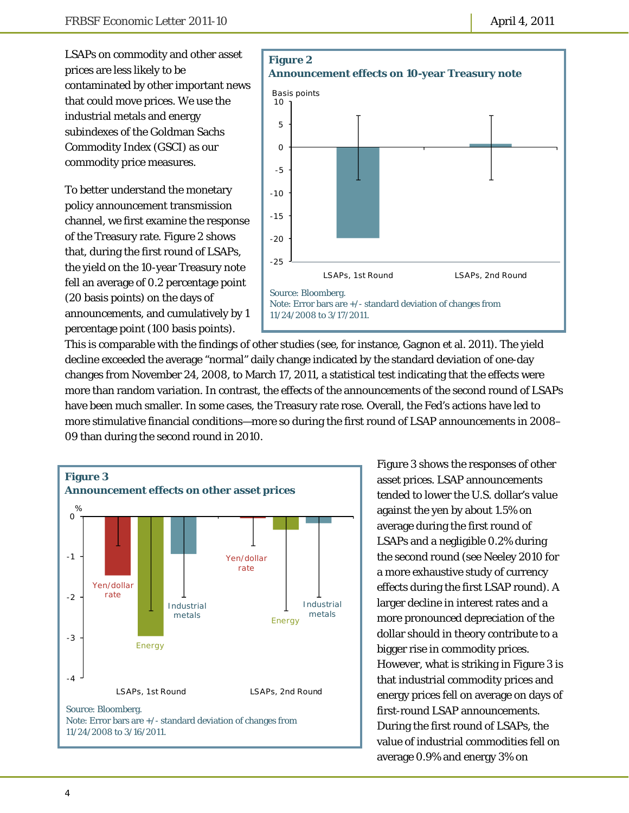LSAPs on commodity and other asset prices are less likely to be contaminated by other important news that could move prices. We use the industrial metals and energy subindexes of the Goldman Sachs Commodity Index (GSCI) as our commodity price measures.

To better understand the monetary policy announcement transmission channel, we first examine the response of the Treasury rate. Figure 2 shows that, during the first round of LSAPs, the yield on the 10-year Treasury note fell an average of 0.2 percentage point (20 basis points) on the days of announcements, and cumulatively by 1 percentage point (100 basis points).



This is comparable with the findings of other studies (see, for instance, Gagnon et al. 2011). The yield decline exceeded the average "normal" daily change indicated by the standard deviation of one-day changes from November 24, 2008, to March 17, 2011, a statistical test indicating that the effects were more than random variation. In contrast, the effects of the announcements of the second round of LSAPs have been much smaller. In some cases, the Treasury rate rose. Overall, the Fed's actions have led to more stimulative financial conditions—more so during the first round of LSAP announcements in 2008– 09 than during the second round in 2010.



Figure 3 shows the responses of other asset prices. LSAP announcements tended to lower the U.S. dollar's value against the yen by about 1.5% on average during the first round of LSAPs and a negligible 0.2% during the second round (see Neeley 2010 for a more exhaustive study of currency effects during the first LSAP round). A larger decline in interest rates and a more pronounced depreciation of the dollar should in theory contribute to a bigger rise in commodity prices. However, what is striking in Figure 3 is that industrial commodity prices and energy prices fell on average on days of first-round LSAP announcements. During the first round of LSAPs, the value of industrial commodities fell on average 0.9% and energy 3% on